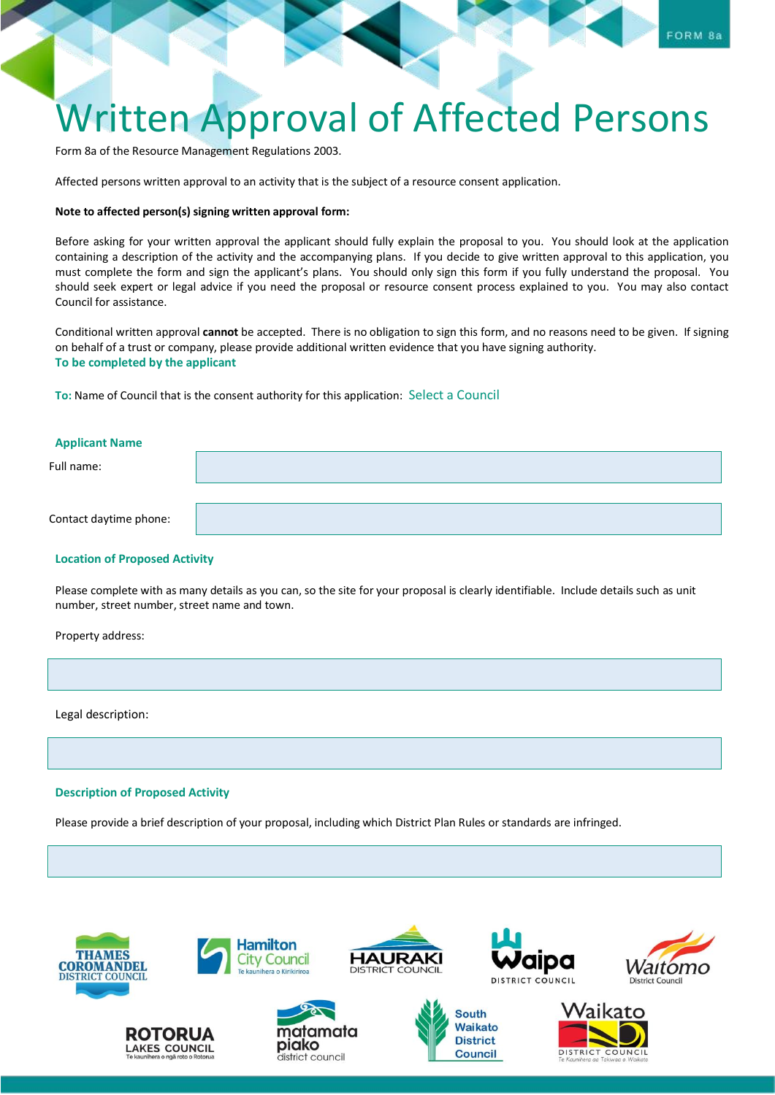## Written Approval of Affected Persons

Form 8a of the Resource Management Regulations 2003.

Affected persons written approval to an activity that is the subject of a resource consent application.

## **Note to affected person(s) signing written approval form:**

Before asking for your written approval the applicant should fully explain the proposal to you. You should look at the application containing a description of the activity and the accompanying plans. If you decide to give written approval to this application, you must complete the form and sign the applicant's plans. You should only sign this form if you fully understand the proposal. You should seek expert or legal advice if you need the proposal or resource consent process explained to you. You may also contact Council for assistance.

Conditional written approval **cannot** be accepted. There is no obligation to sign this form, and no reasons need to be given. If signing on behalf of a trust or company, please provide additional written evidence that you have signing authority. **To be completed by the applicant** 

**To:** Name of Council that is the consent authority for this application: Select a Council

| <b>Applicant Name</b>  |  |
|------------------------|--|
| Full name:             |  |
|                        |  |
| Contact daytime phone: |  |
|                        |  |

## **Location of Proposed Activity**

Please complete with as many details as you can, so the site for your proposal is clearly identifiable. Include details such as unit number, street number, street name and town.

Property address:

Legal description:

## **Description of Proposed Activity**

Please provide a brief description of your proposal, including which District Plan Rules or standards are infringed.







**Hamilton** 

**City Council** 





**South Waikato** 

**District** 

**Council**